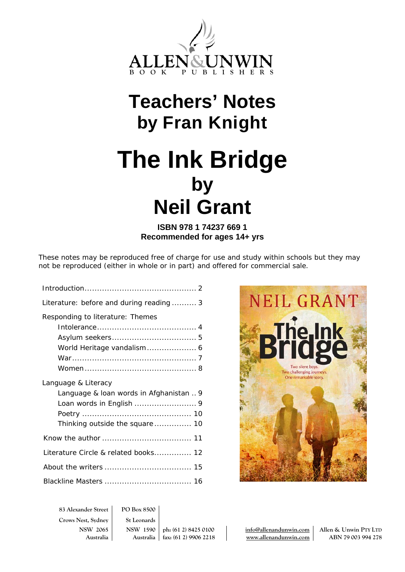

## **Teachers' Notes by Fran Knight**

# **The Ink Bridge by Neil Grant**

### **ISBN 978 1 74237 669 1 Recommended for ages 14+ yrs**

These notes may be reproduced free of charge for use and study within schools but they may not be reproduced (either in whole or in part) and offered for commercial sale.

| Literature: before and during reading 3 |
|-----------------------------------------|
| Responding to literature: Themes        |
|                                         |
|                                         |
| World Heritage vandalism 6              |
|                                         |
|                                         |
| Language & Literacy                     |
|                                         |
| Language & loan words in Afghanistan  9 |
| Loan words in English  9                |
|                                         |
|                                         |
|                                         |
| Literature Circle & related books 12    |
|                                         |



**83 Alexander Street PO Box 8500 Crows Nest, Sydney St Leonards**

**NSW 2065 NSW 1590 ph: (61 2) 8425 0100 info@allenandunwin.com Allen & Unwin PTY LTD Australia Australia fax: (61 2) 9906 2218 www.allenandunwin.com ABN 79 003 994 278**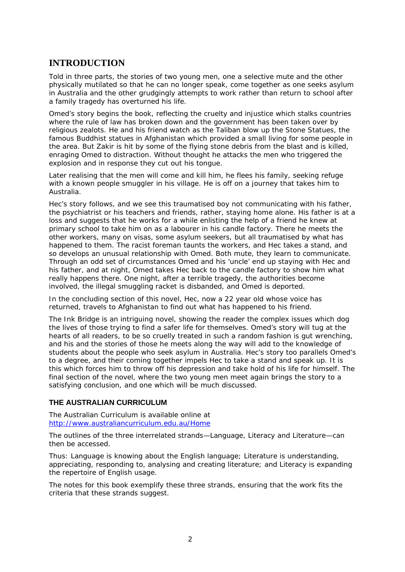## **INTRODUCTION**

Told in three parts, the stories of two young men, one a selective mute and the other physically mutilated so that he can no longer speak, come together as one seeks asylum in Australia and the other grudgingly attempts to work rather than return to school after a family tragedy has overturned his life.

Omed's story begins the book, reflecting the cruelty and injustice which stalks countries where the rule of law has broken down and the government has been taken over by religious zealots. He and his friend watch as the Taliban blow up the Stone Statues, the famous Buddhist statues in Afghanistan which provided a small living for some people in the area. But Zakir is hit by some of the flying stone debris from the blast and is killed, enraging Omed to distraction. Without thought he attacks the men who triggered the explosion and in response they cut out his tongue.

Later realising that the men will come and kill him, he flees his family, seeking refuge with a known people smuggler in his village. He is off on a journey that takes him to Australia.

Hec's story follows, and we see this traumatised boy not communicating with his father, the psychiatrist or his teachers and friends, rather, staying home alone. His father is at a loss and suggests that he works for a while enlisting the help of a friend he knew at primary school to take him on as a labourer in his candle factory. There he meets the other workers, many on visas, some asylum seekers, but all traumatised by what has happened to them. The racist foreman taunts the workers, and Hec takes a stand, and so develops an unusual relationship with Omed. Both mute, they learn to communicate. Through an odd set of circumstances Omed and his 'uncle' end up staying with Hec and his father, and at night, Omed takes Hec back to the candle factory to show him what really happens there. One night, after a terrible tragedy, the authorities become involved, the illegal smuggling racket is disbanded, and Omed is deported.

In the concluding section of this novel, Hec, now a 22 year old whose voice has returned, travels to Afghanistan to find out what has happened to his friend.

*The Ink Bridge* is an intriguing novel, showing the reader the complex issues which dog the lives of those trying to find a safer life for themselves. Omed's story will tug at the hearts of all readers, to be so cruelly treated in such a random fashion is gut wrenching, and his and the stories of those he meets along the way will add to the knowledge of students about the people who seek asylum in Australia. Hec's story too parallels Omed's to a degree, and their coming together impels Hec to take a stand and speak up. It is this which forces him to throw off his depression and take hold of his life for himself. The final section of the novel, where the two young men meet again brings the story to a satisfying conclusion, and one which will be much discussed.

#### **THE AUSTRALIAN CURRICULUM**

The Australian Curriculum is available online at <http://www.australiancurriculum.edu.au/Home>

The outlines of the three interrelated strands—Language, Literacy and Literature—can then be accessed.

Thus: Language is knowing about the English language; Literature is understanding, appreciating, responding to, analysing and creating literature; and Literacy is expanding the repertoire of English usage.

The notes for this book exemplify these three strands, ensuring that the work fits the criteria that these strands suggest.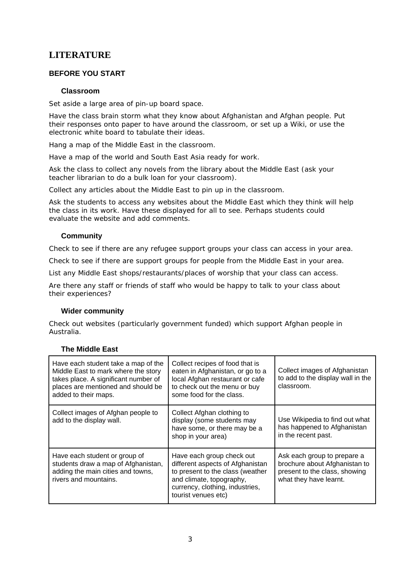## **LITERATURE**

#### **BEFORE YOU START**

#### **Classroom**

Set aside a large area of pin-up board space.

Have the class brain storm what they know about Afghanistan and Afghan people. Put their responses onto paper to have around the classroom, or set up a Wiki, or use the electronic white board to tabulate their ideas.

Hang a map of the Middle East in the classroom.

Have a map of the world and South East Asia ready for work.

Ask the class to collect any novels from the library about the Middle East (ask your teacher librarian to do a bulk loan for your classroom).

Collect any articles about the Middle East to pin up in the classroom.

Ask the students to access any websites about the Middle East which they think will help the class in its work. Have these displayed for all to see. Perhaps students could evaluate the website and add comments.

#### **Community**

Check to see if there are any refugee support groups your class can access in your area.

Check to see if there are support groups for people from the Middle East in your area.

List any Middle East shops/restaurants/places of worship that your class can access.

Are there any staff or friends of staff who would be happy to talk to your class about their experiences?

#### **Wider community**

Check out websites (particularly government funded) which support Afghan people in Australia.

| Have each student take a map of the<br>Middle East to mark where the story<br>takes place. A significant number of<br>places are mentioned and should be<br>added to their maps. | Collect recipes of food that is<br>eaten in Afghanistan, or go to a<br>local Afghan restaurant or cafe<br>to check out the menu or buy<br>some food for the class.                      | Collect images of Afghanistan<br>to add to the display wall in the<br>classroom.                                        |
|----------------------------------------------------------------------------------------------------------------------------------------------------------------------------------|-----------------------------------------------------------------------------------------------------------------------------------------------------------------------------------------|-------------------------------------------------------------------------------------------------------------------------|
| Collect images of Afghan people to<br>add to the display wall.                                                                                                                   | Collect Afghan clothing to<br>display (some students may<br>have some, or there may be a<br>shop in your area)                                                                          | Use Wikipedia to find out what<br>has happened to Afghanistan<br>in the recent past.                                    |
| Have each student or group of<br>students draw a map of Afghanistan,<br>adding the main cities and towns,<br>rivers and mountains.                                               | Have each group check out<br>different aspects of Afghanistan<br>to present to the class (weather<br>and climate, topography,<br>currency, clothing, industries,<br>tourist venues etc) | Ask each group to prepare a<br>brochure about Afghanistan to<br>present to the class, showing<br>what they have learnt. |

#### **The Middle East**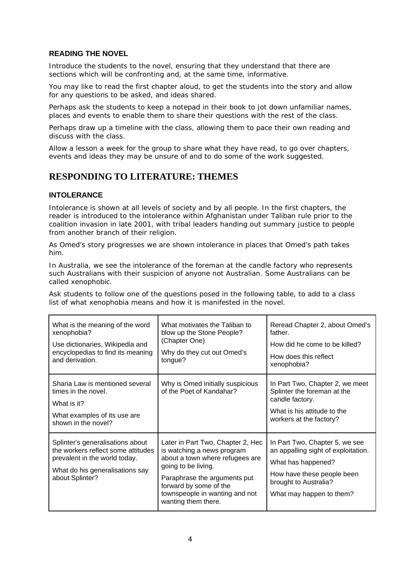#### **READING THE NOVEL**

Introduce the students to the novel, ensuring that they understand that there are sections which will be confronting and, at the same time, informative.

You may like to read the first chapter aloud, to get the students into the story and allow for any questions to be asked, and ideas shared.

Perhaps ask the students to keep a notepad in their book to jot down unfamiliar names, places and events to enable them to share their questions with the rest of the class.

Perhaps draw up a timeline with the class, allowing them to pace their own reading and discuss with the class.

Allow a lesson a week for the group to share what they have read, to go over chapters, events and ideas they may be unsure of and to do some of the work suggested.

## **RESPONDING TO LITERATURE: THEMES**

#### **INTOLERANCE**

Intolerance is shown at all levels of society and by all people. In the first chapters, the reader is introduced to the intolerance within Afghanistan under Taliban rule prior to the coalition invasion in late 2001, with tribal leaders handing out summary justice to people from another branch of their religion.

As Omed's story progresses we are shown intolerance in places that Omed's path takes him.

In Australia, we see the intolerance of the foreman at the candle factory who represents such Australians with their suspicion of anyone not Australian. Some Australians can be called xenophobic.

Ask students to follow one of the questions posed in the following table, to add to a class list of what *xenophobia* means and how it is manifested in the novel.

| What is the meaning of the word<br>xenophobia?<br>Use dictionaries, Wikipedia and<br>encyclopedias to find its meaning<br>and derivation.                     | What motivates the Taliban to<br>blow up the Stone People?<br>(Chapter One)<br>Why do they cut out Omed's<br>tongue?                                                                                                                         | Reread Chapter 2, about Omed's<br>father.<br>How did he come to be killed?<br>How does this reflect<br>xenophobia?                                                             |
|---------------------------------------------------------------------------------------------------------------------------------------------------------------|----------------------------------------------------------------------------------------------------------------------------------------------------------------------------------------------------------------------------------------------|--------------------------------------------------------------------------------------------------------------------------------------------------------------------------------|
| Sharia Law is mentioned several<br>times in the novel.<br>What is it?<br>What examples of its use are<br>shown in the novel?                                  | Why is Omed initially suspicious<br>of the Poet of Kandahar?                                                                                                                                                                                 | In Part Two, Chapter 2, we meet<br>Splinter the foreman at the<br>candle factory.<br>What is his attitude to the<br>workers at the factory?                                    |
| Splinter's generalisations about<br>the workers reflect some attitudes<br>prevalent in the world today.<br>What do his generalisations say<br>about Splinter? | Later in Part Two, Chapter 2, Hec<br>is watching a news program<br>about a town where refugees are<br>going to be living.<br>Paraphrase the arguments put<br>forward by some of the<br>townspeople in wanting and not<br>wanting them there. | In Part Two, Chapter 5, we see<br>an appalling sight of exploitation.<br>What has happened?<br>How have these people been<br>brought to Australia?<br>What may happen to them? |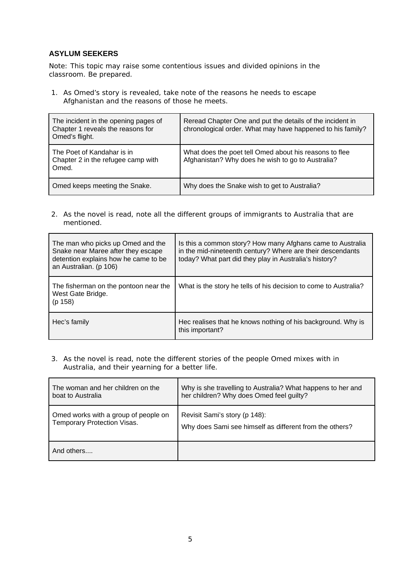#### **ASYLUM SEEKERS**

Note: This topic may raise some contentious issues and divided opinions in the classroom. Be prepared.

1. As Omed's story is revealed, take note of the reasons he needs to escape Afghanistan and the reasons of those he meets.

| The incident in the opening pages of<br>Chapter 1 reveals the reasons for<br>Omed's flight. | Reread Chapter One and put the details of the incident in<br>chronological order. What may have happened to his family? |
|---------------------------------------------------------------------------------------------|-------------------------------------------------------------------------------------------------------------------------|
| The Poet of Kandahar is in<br>Chapter 2 in the refugee camp with<br>Omed.                   | What does the poet tell Omed about his reasons to flee<br>Afghanistan? Why does he wish to go to Australia?             |
| Omed keeps meeting the Snake.                                                               | Why does the Snake wish to get to Australia?                                                                            |

2. As the novel is read, note all the different groups of immigrants to Australia that are mentioned.

| The man who picks up Omed and the<br>Snake near Maree after they escape<br>detention explains how he came to be<br>an Australian. (p 106) | Is this a common story? How many Afghans came to Australia<br>in the mid-nineteenth century? Where are their descendants<br>today? What part did they play in Australia's history? |
|-------------------------------------------------------------------------------------------------------------------------------------------|------------------------------------------------------------------------------------------------------------------------------------------------------------------------------------|
| The fisherman on the pontoon near the<br>West Gate Bridge.<br>(p 158)                                                                     | What is the story he tells of his decision to come to Australia?                                                                                                                   |
| Hec's family                                                                                                                              | Hec realises that he knows nothing of his background. Why is<br>this important?                                                                                                    |

3. As the novel is read, note the different stories of the people Omed mixes with in Australia, and their yearning for a better life.

| The woman and her children on the    | Why is she travelling to Australia? What happens to her and |
|--------------------------------------|-------------------------------------------------------------|
| boat to Australia                    | her children? Why does Omed feel guilty?                    |
| Omed works with a group of people on | Revisit Sami's story (p 148):                               |
| Temporary Protection Visas.          | Why does Sami see himself as different from the others?     |
| And others                           |                                                             |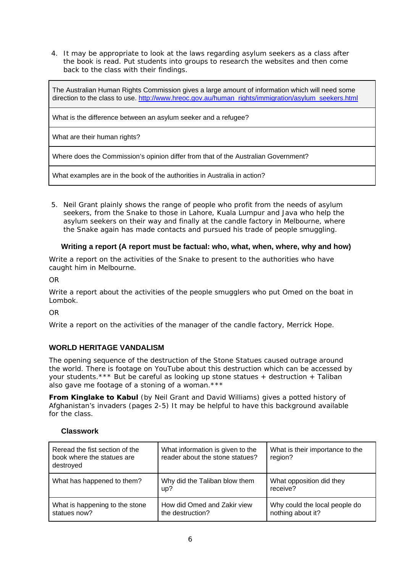4. It may be appropriate to look at the laws regarding asylum seekers as a class after the book is read. Put students into groups to research the websites and then come back to the class with their findings.

The Australian Human Rights Commission gives a large amount of information which will need some direction to the class to use. [http://www.hreoc.gov.au/human\\_rights/immigration/asylum\\_seekers.html](http://www.hreoc.gov.au/human_rights/immigration/asylum_seekers.html)

What is the difference between an asylum seeker and a refugee?

What are their human rights?

Where does the Commission's opinion differ from that of the Australian Government?

What examples are in the book of the authorities in Australia in action?

5. Neil Grant plainly shows the range of people who profit from the needs of asylum seekers, from the Snake to those in Lahore, Kuala Lumpur and Java who help the asylum seekers on their way and finally at the candle factory in Melbourne, where the Snake again has made contacts and pursued his trade of people smuggling.

#### **Writing a report (A report must be factual: who, what, when, where, why and how)**

Write a report on the activities of the Snake to present to the authorities who have caught him in Melbourne.

OR

Write a report about the activities of the people smugglers who put Omed on the boat in Lombok.

OR

Write a report on the activities of the manager of the candle factory, Merrick Hope.

#### **WORLD HERITAGE VANDALISM**

The opening sequence of the destruction of the Stone Statues caused outrage around the world. There is footage on YouTube about this destruction which can be accessed by your students.\*\*\* But be careful as looking up stone statues + destruction + Taliban also gave me footage of a stoning of a woman.\*\*\*

*From Kinglake to Kabul* (by Neil Grant and David Williams) gives a potted history of Afghanistan's invaders (pages 2-5) It may be helpful to have this background available for the class.

#### **Classwork**

| Reread the fist section of the<br>book where the statues are<br>destroyed | What information is given to the<br>reader about the stone statues? | What is their importance to the<br>region?         |
|---------------------------------------------------------------------------|---------------------------------------------------------------------|----------------------------------------------------|
| What has happened to them?                                                | Why did the Taliban blow them<br>up?                                | What opposition did they<br>receive?               |
| What is happening to the stone<br>statues now?                            | How did Omed and Zakir view<br>the destruction?                     | Why could the local people do<br>nothing about it? |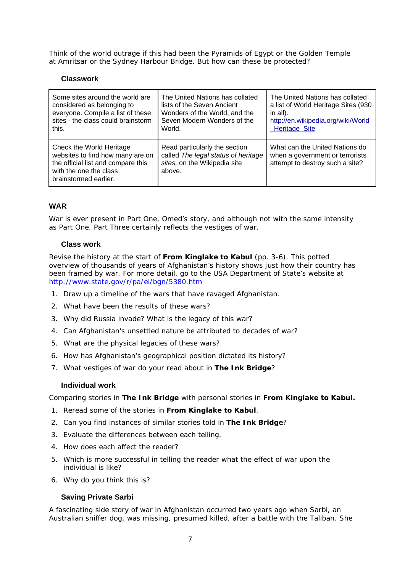Think of the world outrage if this had been the Pyramids of Egypt or the Golden Temple at Amritsar or the Sydney Harbour Bridge. But how can these be protected?

#### **Classwork**

| Some sites around the world are                                                                                                                       | The United Nations has collated                                                                                | The United Nations has collated                                                                      |
|-------------------------------------------------------------------------------------------------------------------------------------------------------|----------------------------------------------------------------------------------------------------------------|------------------------------------------------------------------------------------------------------|
| considered as belonging to                                                                                                                            | lists of the Seven Ancient                                                                                     | a list of World Heritage Sites (930                                                                  |
| everyone. Compile a list of these                                                                                                                     | Wonders of the World, and the                                                                                  | in all).                                                                                             |
| sites - the class could brainstorm                                                                                                                    | Seven Modern Wonders of the                                                                                    | http://en.wikipedia.org/wiki/World                                                                   |
| this.                                                                                                                                                 | World.                                                                                                         | <b>Heritage Site</b>                                                                                 |
| Check the World Heritage<br>websites to find how many are on<br>the official list and compare this<br>with the one the class<br>brainstormed earlier. | Read particularly the section<br>called The legal status of heritage<br>sites, on the Wikipedia site<br>above. | What can the United Nations do<br>when a government or terrorists<br>attempt to destroy such a site? |

#### **WAR**

War is ever present in Part One, Omed's story, and although not with the same intensity as Part One, Part Three certainly reflects the vestiges of war.

#### **Class work**

Revise the history at the start of **From Kinglake to Kabul** (pp. 3-6). This potted overview of thousands of years of Afghanistan's history shows just how their country has been framed by war. For more detail, go to the USA Department of State's website at <http://www.state.gov/r/pa/ei/bgn/5380.htm>

- 1. Draw up a timeline of the wars that have ravaged Afghanistan.
- 2. What have been the results of these wars?
- 3. Why did Russia invade? What is the legacy of this war?
- 4. Can Afghanistan's unsettled nature be attributed to decades of war?
- 5. What are the physical legacies of these wars?
- 6. How has Afghanistan's geographical position dictated its history?
- 7. What vestiges of war do your read about in **The Ink Bridge**?

#### **Individual work**

Comparing stories in **The Ink Bridge** with personal stories in **From Kinglake to Kabul.** 

- 1. Reread some of the stories in **From Kinglake to Kabul**.
- 2. Can you find instances of similar stories told in **The Ink Bridge**?
- 3. Evaluate the differences between each telling.
- 4. How does each affect the reader?
- 5. Which is more successful in telling the reader what the effect of war upon the individual is like?
- 6. Why do you think this is?

#### **Saving Private Sarbi**

A fascinating side story of war in Afghanistan occurred two years ago when Sarbi, an Australian sniffer dog, was missing, presumed killed, after a battle with the Taliban. She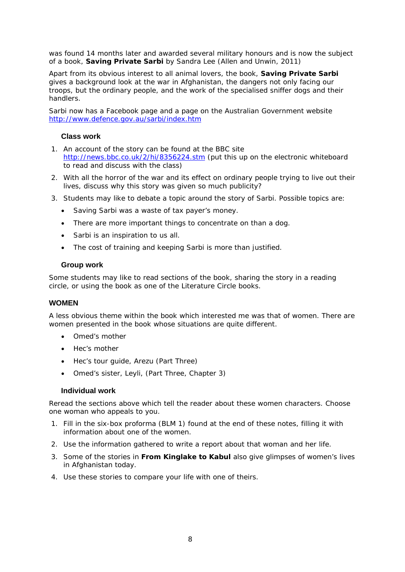was found 14 months later and awarded several military honours and is now the subject of a book, **Saving Private Sarbi** by Sandra Lee (Allen and Unwin, 2011)

Apart from its obvious interest to all animal lovers, the book, **Saving Private Sarbi**  gives a background look at the war in Afghanistan, the dangers not only facing our troops, but the ordinary people, and the work of the specialised sniffer dogs and their handlers.

Sarbi now has a Facebook page and a page on the Australian Government website <http://www.defence.gov.au/sarbi/index.htm>

#### **Class work**

- 1. An account of the story can be found at the BBC site <http://news.bbc.co.uk/2/hi/8356224.stm>(put this up on the electronic whiteboard to read and discuss with the class)
- 2. With all the horror of the war and its effect on ordinary people trying to live out their lives, discuss why this story was given so much publicity?
- 3. Students may like to debate a topic around the story of Sarbi. Possible topics are:
	- Saving Sarbi was a waste of tax payer's money.
	- There are more important things to concentrate on than a dog.
	- Sarbi is an inspiration to us all.
	- The cost of training and keeping Sarbi is more than justified.

#### **Group work**

Some students may like to read sections of the book, sharing the story in a reading circle, or using the book as one of the Literature Circle books.

#### **WOMEN**

A less obvious theme within the book which interested me was that of women. There are women presented in the book whose situations are quite different.

- Omed's mother
- Hec's mother
- Hec's tour guide, Arezu (Part Three)
- Omed's sister, Leyli, (Part Three, Chapter 3)

#### **Individual work**

Reread the sections above which tell the reader about these women characters. Choose one woman who appeals to you.

- 1. Fill in the six-box proforma (BLM 1) found at the end of these notes, filling it with information about one of the women.
- 2. Use the information gathered to write a report about that woman and her life.
- 3. Some of the stories in **From Kinglake to Kabul** also give glimpses of women's lives in Afghanistan today.
- 4. Use these stories to compare your life with one of theirs.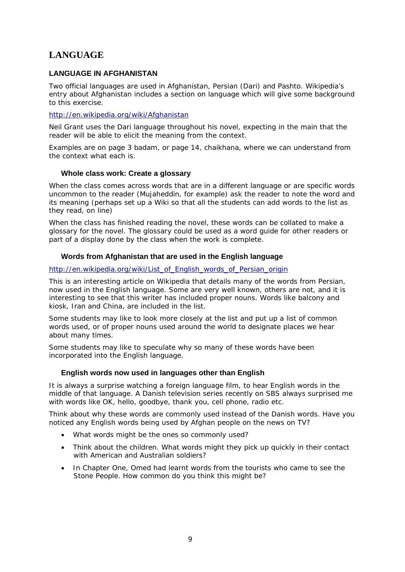## **LANGUAGE**

#### **LANGUAGE IN AFGHANISTAN**

Two official languages are used in Afghanistan, Persian (Dari) and Pashto. Wikipedia's entry about Afghanistan includes a section on language which will give some background to this exercise.

<http://en.wikipedia.org/wiki/Afghanistan>

Neil Grant uses the Dari language throughout his novel, expecting in the main that the reader will be able to elicit the meaning from the context.

Examples are on page 3 *badam*, or page 14, *chaikhana*, where we can understand from the context what each is.

#### **Whole class work: Create a glossary**

When the class comes across words that are in a different language or are specific words uncommon to the reader (Mujaheddin, for example) ask the reader to note the word and its meaning (perhaps set up a Wiki so that all the students can add words to the list as they read, on line)

When the class has finished reading the novel, these words can be collated to make a glossary for the novel. The glossary could be used as a word guide for other readers or part of a display done by the class when the work is complete.

#### **Words from Afghanistan that are used in the English language**

#### [http://en.wikipedia.org/wiki/List\\_of\\_English\\_words\\_of\\_Persian\\_origin](http://en.wikipedia.org/wiki/List_of_English_words_of_Persian_origin)

This is an interesting article on Wikipedia that details many of the words from Persian, now used in the English language. Some are very well known, others are not, and it is interesting to see that this writer has included proper nouns. Words like *balcony* and *kiosk*, *Iran* and *China*, are included in the list.

Some students may like to look more closely at the list and put up a list of common words used, or of proper nouns used around the world to designate places we hear about many times.

Some students may like to speculate why so many of these words have been incorporated into the English language.

#### **English words now used in languages other than English**

It is always a surprise watching a foreign language film, to hear English words in the middle of that language. A Danish television series recently on SBS always surprised me with words like *OK*, *hello*, *goodbye*, *thank you*, *cell phone*, *radio* etc.

Think about why these words are commonly used instead of the Danish words. Have you noticed any English words being used by Afghan people on the news on TV?

- What words might be the ones so commonly used?
- Think about the children. What words might they pick up quickly in their contact with American and Australian soldiers?
- In Chapter One, Omed had learnt words from the tourists who came to see the Stone People. How common do you think this might be?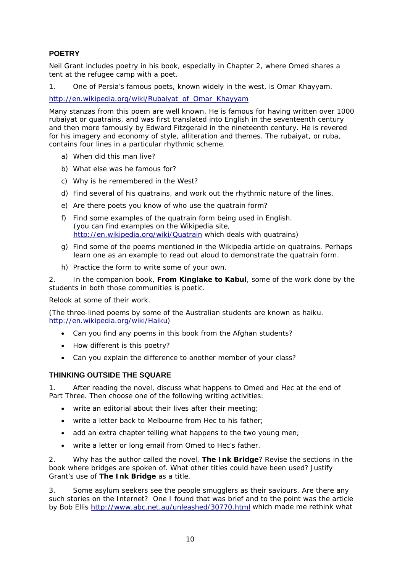#### **POETRY**

Neil Grant includes poetry in his book, especially in Chapter 2, where Omed shares a tent at the refugee camp with a poet.

1. One of Persia's famous poets, known widely in the west, is Omar Khayyam.

[http://en.wikipedia.org/wiki/Rubaiyat\\_of\\_Omar\\_Khayyam](http://en.wikipedia.org/wiki/Rubaiyat_of_Omar_Khayyam)

Many stanzas from this poem are well known. He is famous for having written over 1000 rubaiyat or quatrains, and was first translated into English in the seventeenth century and then more famously by Edward Fitzgerald in the nineteenth century. He is revered for his imagery and economy of style, alliteration and themes. The rubaiyat, or ruba, contains four lines in a particular rhythmic scheme.

- a) When did this man live?
- b) What else was he famous for?
- c) Why is he remembered in the West?
- d) Find several of his quatrains, and work out the rhythmic nature of the lines.
- e) Are there poets you know of who use the quatrain form?
- f) Find some examples of the quatrain form being used in English. (you can find examples on the Wikipedia site, <http://en.wikipedia.org/wiki/Quatrain> which deals with quatrains)
- g) Find some of the poems mentioned in the Wikipedia article on quatrains. Perhaps learn one as an example to read out aloud to demonstrate the quatrain form.
- h) Practice the form to write some of your own.

2. In the companion book, **From Kinglake to Kabul**, some of the work done by the students in both those communities is poetic.

Relook at some of their work.

(The three-lined poems by some of the Australian students are known as haiku. <http://en.wikipedia.org/wiki/Haiku>)

- Can you find any poems in this book from the Afghan students?
- How different is this poetry?
- Can you explain the difference to another member of your class?

#### **THINKING OUTSIDE THE SQUARE**

1. After reading the novel, discuss what happens to Omed and Hec at the end of Part Three. Then choose one of the following writing activities:

- write an editorial about their lives after their meeting;
- write a letter back to Melbourne from Hec to his father;
- add an extra chapter telling what happens to the two young men;
- write a letter or long email from Omed to Hec's father.

2. Why has the author called the novel, **The Ink Bridge**? Revise the sections in the book where bridges are spoken of. What other titles could have been used? Justify Grant's use of **The Ink Bridge** as a title.

3. Some asylum seekers see the people smugglers as their saviours. Are there any such stories on the Internet? One I found that was brief and to the point was the article by Bob Ellis <http://www.abc.net.au/unleashed/30770.html>which made me rethink what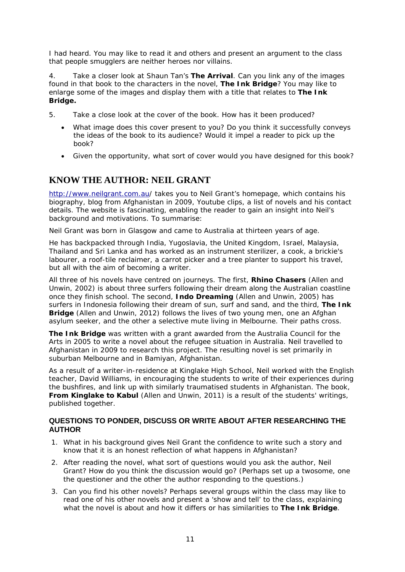I had heard. You may like to read it and others and present an argument to the class that people smugglers are neither heroes nor villains.

4. Take a closer look at Shaun Tan's **The Arrival**. Can you link any of the images found in that book to the characters in the novel, **The Ink Bridge**? You may like to enlarge some of the images and display them with a title that relates to **The Ink Bridge.** 

- 5. Take a close look at the cover of the book. How has it been produced?
	- What image does this cover present to you? Do you think it successfully conveys the ideas of the book to its audience? Would it impel a reader to pick up the book?
	- Given the opportunity, what sort of cover would you have designed for this book?

## **KNOW THE AUTHOR: NEIL GRANT**

<http://www.neilgrant.com.au/> takes you to Neil Grant's homepage, which contains his biography, blog from Afghanistan in 2009, Youtube clips, a list of novels and his contact details. The website is fascinating, enabling the reader to gain an insight into Neil's background and motivations. To summarise:

Neil Grant was born in Glasgow and came to Australia at thirteen years of age.

He has backpacked through India, Yugoslavia, the United Kingdom, Israel, Malaysia, Thailand and Sri Lanka and has worked as an instrument sterilizer, a cook, a brickie's labourer, a roof-tile reclaimer, a carrot picker and a tree planter to support his travel, but all with the aim of becoming a writer.

All three of his novels have centred on journeys. The first, **Rhino Chasers** (Allen and Unwin, 2002) is about three surfers following their dream along the Australian coastline once they finish school. The second, **Indo Dreaming** (Allen and Unwin, 2005) has surfers in Indonesia following their dream of sun, surf and sand, and the third, **The Ink Bridge** (Allen and Unwin, 2012) follows the lives of two young men, one an Afghan asylum seeker, and the other a selective mute living in Melbourne. Their paths cross.

**The Ink Bridge** was written with a grant awarded from the Australia Council for the Arts in 2005 to write a novel about the refugee situation in Australia. Neil travelled to Afghanistan in 2009 to research this project. The resulting novel is set primarily in suburban Melbourne and in Bamiyan, Afghanistan.

As a result of a writer-in-residence at Kinglake High School, Neil worked with the English teacher, David Williams, in encouraging the students to write of their experiences during the bushfires, and link up with similarly traumatised students in Afghanistan. The book, **From Kinglake to Kabul** (Allen and Unwin, 2011) is a result of the students' writings, published together.

#### **QUESTIONS TO PONDER, DISCUSS OR WRITE ABOUT AFTER RESEARCHING THE AUTHOR**

- 1. What in his background gives Neil Grant the confidence to write such a story and know that it is an honest reflection of what happens in Afghanistan?
- 2. After reading the novel, what sort of questions would you ask the author, Neil Grant? How do you think the discussion would go? (Perhaps set up a twosome, one the questioner and the other the author responding to the questions.)
- 3. Can you find his other novels? Perhaps several groups within the class may like to read one of his other novels and present a 'show and tell' to the class, explaining what the novel is about and how it differs or has similarities to **The Ink Bridge**.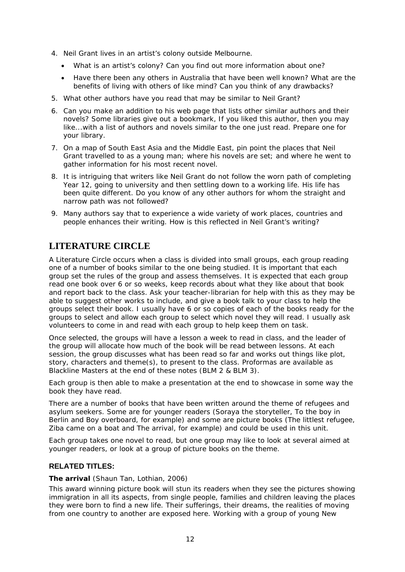- 4. Neil Grant lives in an artist's colony outside Melbourne.
	- What is an artist's colony? Can you find out more information about one?
	- Have there been any others in Australia that have been well known? What are the benefits of living with others of like mind? Can you think of any drawbacks?
- 5. What other authors have you read that may be similar to Neil Grant?
- 6. Can you make an addition to his web page that lists other similar authors and their novels? Some libraries give out a bookmark, *If you liked this author, then you may like...*with a list of authors and novels similar to the one just read. Prepare one for your library.
- 7. On a map of South East Asia and the Middle East, pin point the places that Neil Grant travelled to as a young man; where his novels are set; and where he went to gather information for his most recent novel.
- 8. It is intriguing that writers like Neil Grant do not follow the worn path of completing Year 12, going to university and then settling down to a working life. His life has been quite different. Do you know of any other authors for whom the straight and narrow path was not followed?
- 9. Many authors say that to experience a wide variety of work places, countries and people enhances their writing. How is this reflected in Neil Grant's writing?

## **LITERATURE CIRCLE**

A Literature Circle occurs when a class is divided into small groups, each group reading one of a number of books similar to the one being studied. It is important that each group set the rules of the group and assess themselves. It is expected that each group read one book over 6 or so weeks, keep records about what they like about that book and report back to the class. Ask your teacher-librarian for help with this as they may be able to suggest other works to include, and give a book talk to your class to help the groups select their book. I usually have 6 or so copies of each of the books ready for the groups to select and allow each group to select which novel they will read. I usually ask volunteers to come in and read with each group to help keep them on task.

Once selected, the groups will have a lesson a week to read in class, and the leader of the group will allocate how much of the book will be read between lessons. At each session, the group discusses what has been read so far and works out things like plot, story, characters and theme(s), to present to the class. Proformas are available as Blackline Masters at the end of these notes (BLM 2 & BLM 3).

Each group is then able to make a presentation at the end to showcase in some way the book they have read.

There are a number of books that have been written around the theme of refugees and asylum seekers. Some are for younger readers (*Soraya the storyteller*, *To the boy in Berlin* and *Boy overboard*, for example) and some are picture books (*The littlest refugee*, *Ziba came on a boat* and *Th*e *arrival*, for example) and could be used in this unit.

Each group takes one novel to read, but one group may like to look at several aimed at younger readers, or look at a group of picture books on the theme.

#### **RELATED TITLES:**

#### **The arrival** (Shaun Tan, Lothian, 2006)

This award winning picture book will stun its readers when they see the pictures showing immigration in all its aspects, from single people, families and children leaving the places they were born to find a new life. Their sufferings, their dreams, the realities of moving from one country to another are exposed here. Working with a group of young New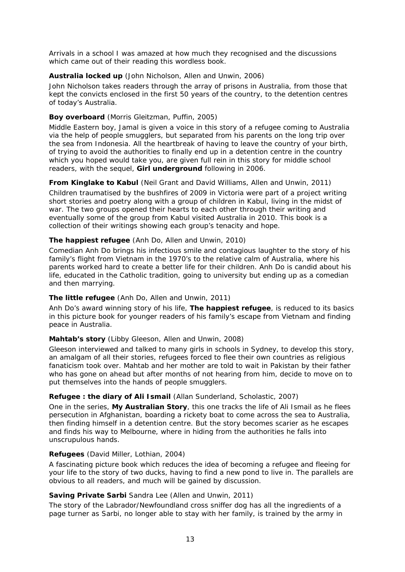Arrivals in a school I was amazed at how much they recognised and the discussions which came out of their reading this wordless book.

#### **Australia locked up** (John Nicholson, Allen and Unwin, 2006)

John Nicholson takes readers through the array of prisons in Australia, from those that kept the convicts enclosed in the first 50 years of the country, to the detention centres of today's Australia.

#### **Boy overboard** (Morris Gleitzman, Puffin, 2005)

Middle Eastern boy, Jamal is given a voice in this story of a refugee coming to Australia via the help of people smugglers, but separated from his parents on the long trip over the sea from Indonesia. All the heartbreak of having to leave the country of your birth, of trying to avoid the authorities to finally end up in a detention centre in the country which you hoped would take you, are given full rein in this story for middle school readers, with the sequel, **Girl underground** following in 2006.

#### **From Kinglake to Kabul** (Neil Grant and David Williams, Allen and Unwin, 2011)

Children traumatised by the bushfires of 2009 in Victoria were part of a project writing short stories and poetry along with a group of children in Kabul, living in the midst of war. The two groups opened their hearts to each other through their writing and eventually some of the group from Kabul visited Australia in 2010. This book is a collection of their writings showing each group's tenacity and hope.

#### **The happiest refugee** (Anh Do, Allen and Unwin, 2010)

Comedian Anh Do brings his infectious smile and contagious laughter to the story of his family's flight from Vietnam in the 1970's to the relative calm of Australia, where his parents worked hard to create a better life for their children. Anh Do is candid about his life, educated in the Catholic tradition, going to university but ending up as a comedian and then marrying.

#### **The little refugee** (Anh Do, Allen and Unwin, 2011)

Anh Do's award winning story of his life, **The happiest refugee**, is reduced to its basics in this picture book for younger readers of his family's escape from Vietnam and finding peace in Australia.

#### **Mahtab's story** (Libby Gleeson, Allen and Unwin, 2008)

Gleeson interviewed and talked to many girls in schools in Sydney, to develop this story, an amalgam of all their stories, refugees forced to flee their own countries as religious fanaticism took over. Mahtab and her mother are told to wait in Pakistan by their father who has gone on ahead but after months of not hearing from him, decide to move on to put themselves into the hands of people smugglers.

#### **Refugee : the diary of Ali Ismail** (Allan Sunderland, Scholastic, 2007)

One in the series, **My Australian Story**, this one tracks the life of Ali Ismail as he flees persecution in Afghanistan, boarding a rickety boat to come across the sea to Australia, then finding himself in a detention centre. But the story becomes scarier as he escapes and finds his way to Melbourne, where in hiding from the authorities he falls into unscrupulous hands.

#### **Refugees** (David Miller, Lothian, 2004)

A fascinating picture book which reduces the idea of becoming a refugee and fleeing for your life to the story of two ducks, having to find a new pond to live in. The parallels are obvious to all readers, and much will be gained by discussion.

#### **Saving Private Sarbi** Sandra Lee (Allen and Unwin, 2011)

The story of the Labrador/Newfoundland cross sniffer dog has all the ingredients of a page turner as Sarbi, no longer able to stay with her family, is trained by the army in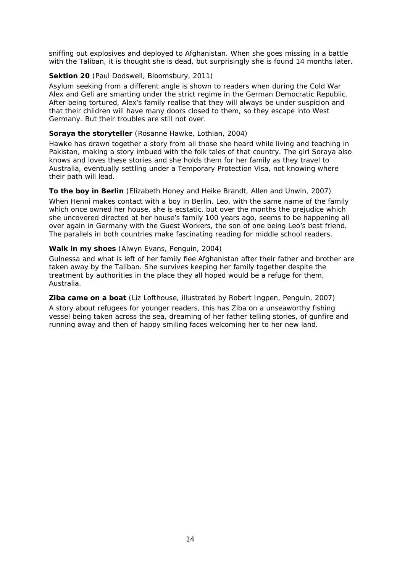sniffing out explosives and deployed to Afghanistan. When she goes missing in a battle with the Taliban, it is thought she is dead, but surprisingly she is found 14 months later.

#### **Sektion 20** (Paul Dodswell, Bloomsbury, 2011)

Asylum seeking from a different angle is shown to readers when during the Cold War Alex and Geli are smarting under the strict regime in the German Democratic Republic. After being tortured, Alex's family realise that they will always be under suspicion and that their children will have many doors closed to them, so they escape into West Germany. But their troubles are still not over.

#### **Soraya the storyteller** (Rosanne Hawke, Lothian, 2004)

Hawke has drawn together a story from all those she heard while living and teaching in Pakistan, making a story imbued with the folk tales of that country. The girl Soraya also knows and loves these stories and she holds them for her family as they travel to Australia, eventually settling under a Temporary Protection Visa, not knowing where their path will lead.

#### **To the boy in Berlin** (Elizabeth Honey and Heike Brandt, Allen and Unwin, 2007)

When Henni makes contact with a boy in Berlin, Leo, with the same name of the family which once owned her house, she is ecstatic, but over the months the prejudice which she uncovered directed at her house's family 100 years ago, seems to be happening all over again in Germany with the Guest Workers, the son of one being Leo's best friend. The parallels in both countries make fascinating reading for middle school readers.

#### **Walk in my shoes** (Alwyn Evans, Penguin, 2004)

Gulnessa and what is left of her family flee Afghanistan after their father and brother are taken away by the Taliban. She survives keeping her family together despite the treatment by authorities in the place they all hoped would be a refuge for them, Australia.

#### **Ziba came on a boat** (Liz Lofthouse, illustrated by Robert Ingpen, Penguin, 2007)

A story about refugees for younger readers, this has Ziba on a unseaworthy fishing vessel being taken across the sea, dreaming of her father telling stories, of gunfire and running away and then of happy smiling faces welcoming her to her new land.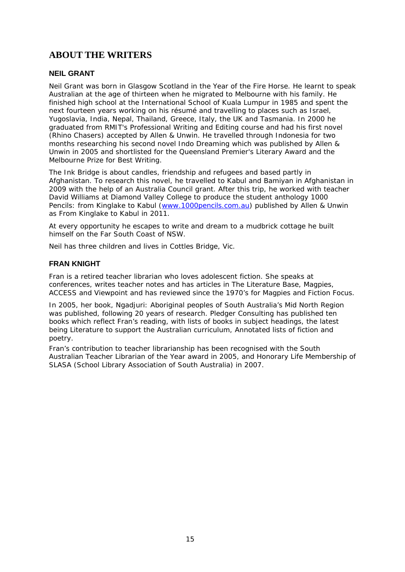## **ABOUT THE WRITERS**

#### **NEIL GRANT**

Neil Grant was born in Glasgow Scotland in the Year of the Fire Horse. He learnt to speak Australian at the age of thirteen when he migrated to Melbourne with his family. He finished high school at the International School of Kuala Lumpur in 1985 and spent the next fourteen years working on his résumé and travelling to places such as Israel, Yugoslavia, India, Nepal, Thailand, Greece, Italy, the UK and Tasmania. In 2000 he graduated from RMIT's Professional Writing and Editing course and had his first novel (*Rhino Chasers*) accepted by Allen & Unwin. He travelled through Indonesia for two months researching his second novel *Indo Dreaming* which was published by Allen & Unwin in 2005 and shortlisted for the Queensland Premier's Literary Award and the Melbourne Prize for Best Writing.

*The Ink Bridge* is about candles, friendship and refugees and based partly in Afghanistan. To research this novel, he travelled to Kabul and Bamiyan in Afghanistan in 2009 with the help of an Australia Council grant. After this trip, he worked with teacher David Williams at Diamond Valley College to produce the student anthology *1000 Pencils: from Kinglake to Kabul* [\(www.1000pencils.com.au\)](http://www.1000pencils.com.au/) published by Allen & Unwin as *From Kinglake to Kabul* in 2011.

At every opportunity he escapes to write and dream to a mudbrick cottage he built himself on the Far South Coast of NSW.

Neil has three children and lives in Cottles Bridge, Vic.

#### **FRAN KNIGHT**

Fran is a retired teacher librarian who loves adolescent fiction. She speaks at conferences, writes teacher notes and has articles in *The Literature Base*, *Magpies*, *ACCESS* and *Viewpoint* and has reviewed since the 1970's for *Magpies* and *Fiction Focus*.

In 2005, her book*, Ngadjuri: Aboriginal peoples of South Australia's Mid North Region* was published, following 20 years of research. Pledger Consulting has published ten books which reflect Fran's reading, with lists of books in subject headings, the latest being *Literature to support the Australian curriculum, Annotated lists of fiction and poetry.*

Fran's contribution to teacher librarianship has been recognised with the South Australian Teacher Librarian of the Year award in 2005, and Honorary Life Membership of SLASA (School Library Association of South Australia) in 2007.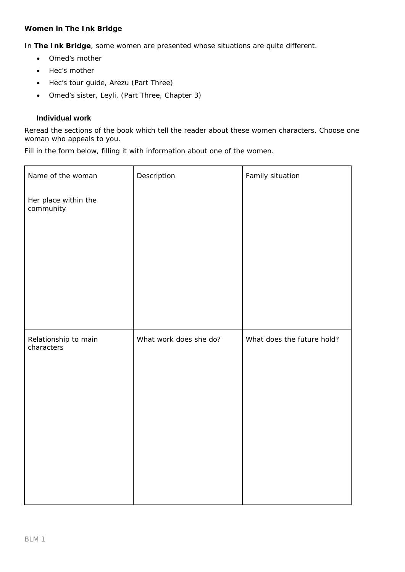#### **Women in** *The Ink Bridge*

In **The Ink Bridge**, some women are presented whose situations are quite different.

- Omed's mother
- Hec's mother
- Hec's tour guide, Arezu (Part Three)
- Omed's sister, Leyli, (Part Three, Chapter 3)

#### **Individual work**

Reread the sections of the book which tell the reader about these women characters. Choose one woman who appeals to you.

Fill in the form below, filling it with information about one of the women.

| Name of the woman                  | Description            | Family situation           |
|------------------------------------|------------------------|----------------------------|
| Her place within the<br>community  |                        |                            |
|                                    |                        |                            |
| Relationship to main<br>characters | What work does she do? | What does the future hold? |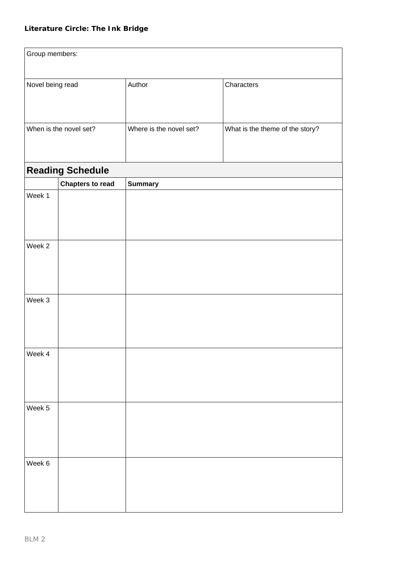| Group members:   |                         |                         |                                 |
|------------------|-------------------------|-------------------------|---------------------------------|
| Novel being read |                         | Author                  | Characters                      |
|                  | When is the novel set?  | Where is the novel set? | What is the theme of the story? |
|                  | <b>Reading Schedule</b> |                         |                                 |
|                  | <b>Chapters to read</b> | <b>Summary</b>          |                                 |
| Week 1           |                         |                         |                                 |
| Week 2           |                         |                         |                                 |
| Week 3           |                         |                         |                                 |
| Week 4           |                         |                         |                                 |
| Week 5           |                         |                         |                                 |
| Week 6           |                         |                         |                                 |